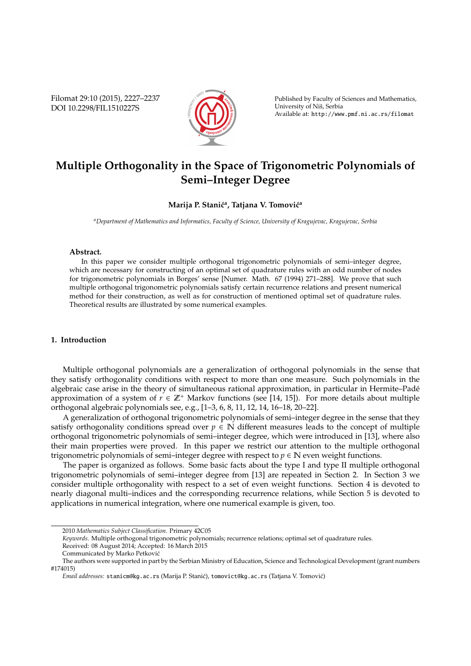Filomat 29:10 (2015), 2227–2237 DOI 10.2298/FIL1510227S



Published by Faculty of Sciences and Mathematics, University of Nis, Serbia ˇ Available at: http://www.pmf.ni.ac.rs/filomat

# **Multiple Orthogonality in the Space of Trigonometric Polynomials of Semi–Integer Degree**

## **Marija P. Stanić<sup>a</sup>, Tatjana V. Tomović<sup>a</sup>**

*<sup>a</sup>Department of Mathematics and Informatics, Faculty of Science, University of Kragujevac, Kragujevac, Serbia*

### **Abstract.**

In this paper we consider multiple orthogonal trigonometric polynomials of semi–integer degree, which are necessary for constructing of an optimal set of quadrature rules with an odd number of nodes for trigonometric polynomials in Borges' sense [Numer. Math. 67 (1994) 271–288]. We prove that such multiple orthogonal trigonometric polynomials satisfy certain recurrence relations and present numerical method for their construction, as well as for construction of mentioned optimal set of quadrature rules. Theoretical results are illustrated by some numerical examples.

## **1. Introduction**

Multiple orthogonal polynomials are a generalization of orthogonal polynomials in the sense that they satisfy orthogonality conditions with respect to more than one measure. Such polynomials in the algebraic case arise in the theory of simultaneous rational approximation, in particular in Hermite–Pade´ approximation of a system of  $r \in \mathbb{Z}^+$  Markov functions (see [14, 15]). For more details about multiple orthogonal algebraic polynomials see, e.g., [1–3, 6, 8, 11, 12, 14, 16–18, 20–22].

A generalization of orthogonal trigonometric polynomials of semi–integer degree in the sense that they satisfy orthogonality conditions spread over  $p \in \mathbb{N}$  different measures leads to the concept of multiple orthogonal trigonometric polynomials of semi–integer degree, which were introduced in [13], where also their main properties were proved. In this paper we restrict our attention to the multiple orthogonal trigonometric polynomials of semi–integer degree with respect to  $p \in \mathbb{N}$  even weight functions.

The paper is organized as follows. Some basic facts about the type I and type II multiple orthogonal trigonometric polynomials of semi–integer degree from [13] are repeated in Section 2. In Section 3 we consider multiple orthogonality with respect to a set of even weight functions. Section 4 is devoted to nearly diagonal multi–indices and the corresponding recurrence relations, while Section 5 is devoted to applications in numerical integration, where one numerical example is given, too.

<sup>2010</sup> *Mathematics Subject Classification*. Primary 42C05

*Keywords*. Multiple orthogonal trigonometric polynomials; recurrence relations; optimal set of quadrature rules.

Received: 08 August 2014; Accepted: 16 March 2015

Communicated by Marko Petkovic´

The authors were supported in part by the Serbian Ministry of Education, Science and Technological Development (grant numbers #174015)

*Email addresses:* stanicm@kg.ac.rs (Marija P. Stanić), tomovict@kg.ac.rs (Tatjana V. Tomović)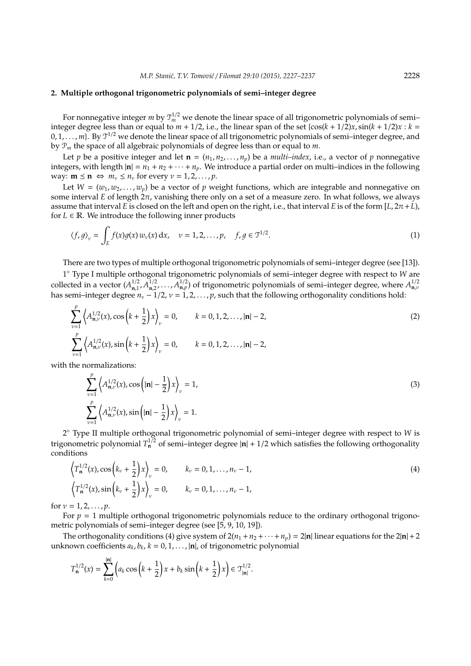### **2. Multiple orthogonal trigonometric polynomials of semi–integer degree**

For nonnegative integer  $m$  by  $\mathfrak{I}_m^{1/2}$  we denote the linear space of all trigonometric polynomials of semi– integer degree less than or equal to  $m + 1/2$ , i.e., the linear span of the set  $\{\cos((k + 1/2)x, \sin((k + 1/2)x) : k = 1/2, 1/2\}$  $[0, 1, \ldots, m]$ . By  $\mathfrak{T}^{1/2}$  we denote the linear space of all trigonometric polynomials of semi-integer degree, and by P*<sup>m</sup>* the space of all algebraic polynomials of degree less than or equal to *m*.

Let *p* be a positive integer and let  $\mathbf{n} = (n_1, n_2, \dots, n_p)$  be a *multi–index*, i.e., a vector of *p* nonnegative integers, with length  $|\mathbf{n}| = n_1 + n_2 + \cdots + n_p$ . We introduce a partial order on multi-indices in the following way:  $\mathbf{m} \leq \mathbf{n} \Leftrightarrow m_v \leq n_v$  for every  $v = 1, 2, ..., p$ .

Let  $W = (w_1, w_2, \ldots, w_n)$  be a vector of *p* weight functions, which are integrable and nonnegative on some interval *E* of length 2π, vanishing there only on a set of a measure zero. In what follows, we always assume that interval *E* is closed on the left and open on the right, i.e., that interval *E* is of the form  $[L, 2\pi + L]$ , for  $L \in \mathbb{R}$ . We introduce the following inner products

$$
\langle f, g \rangle_{\nu} = \int_{E} f(x) g(x) w_{\nu}(x) dx, \quad \nu = 1, 2, \dots, p, \quad f, g \in \mathfrak{I}^{1/2}.
$$
 (1)

There are two types of multiple orthogonal trigonometric polynomials of semi–integer degree (see [13]).

1 ◦ Type I multiple orthogonal trigonometric polynomials of semi–integer degree with respect to *W* are collected in a vector  $(A_{n1}^{1/2})$  $^{1/2}_{n,1'}$   $^{1/2}_{n,2}$ collected in a vector  $(A_{n,1}^{1/2}, A_{n,2}^{1/2}, \ldots, A_{n,p}^{1/2})$  of trigonometric polynomials of semi–integer degree, where  $A_{n,\nu}^{1/2}$ <br>has semi–integer degree  $n_{\nu}$  – 1/2,  $\nu$  = 1, 2, ..., p, such that the following ort

$$
\sum_{\nu=1}^{p} \left\langle A_{\mathbf{n},\nu}^{1/2}(x), \cos\left(k + \frac{1}{2}\right)x \right\rangle_{\nu} = 0, \qquad k = 0, 1, 2, \dots, |\mathbf{n}| - 2,
$$
\n
$$
\sum_{\nu=1}^{p} \left\langle A_{\mathbf{n},\nu}^{1/2}(x), \sin\left(k + \frac{1}{2}\right)x \right\rangle_{\nu} = 0, \qquad k = 0, 1, 2, \dots, |\mathbf{n}| - 2,
$$
\n(2)

with the normalizations:

$$
\sum_{\nu=1}^{p} \left\langle A_{\mathbf{n},\nu}^{1/2}(x), \cos\left(|\mathbf{n}| - \frac{1}{2}\right) x \right\rangle_{\nu} = 1,
$$
\n
$$
\sum_{\nu=1}^{p} \left\langle A_{\mathbf{n},\nu}^{1/2}(x), \sin\left(|\mathbf{n}| - \frac{1}{2}\right) x \right\rangle_{\nu} = 1.
$$
\n(3)

2 ◦ Type II multiple orthogonal trigonometric polynomial of semi–integer degree with respect to *W* is trigonometric polynomial  $T_n^{1/2}$  of semi–integer degree  $|n| + 1/2$  which satisfies the following orthogonality conditions

$$
\left\langle T_{\mathbf{n}}^{1/2}(x), \cos\left(k_{\nu} + \frac{1}{2}\right)x\right\rangle_{\nu} = 0, \qquad k_{\nu} = 0, 1, ..., n_{\nu} - 1,
$$
\n
$$
\left\langle T_{\mathbf{n}}^{1/2}(x), \sin\left(k_{\nu} + \frac{1}{2}\right)x\right\rangle_{\nu} = 0, \qquad k_{\nu} = 0, 1, ..., n_{\nu} - 1,
$$
\n(4)

for  $v = 1, 2, ..., p$ .

For  $p = 1$  multiple orthogonal trigonometric polynomials reduce to the ordinary orthogonal trigonometric polynomials of semi–integer degree (see [5, 9, 10, 19]).

The orthogonality conditions (4) give system of  $2(n_1 + n_2 + \cdots + n_p) = 2|\mathbf{n}|$  linear equations for the  $2|\mathbf{n}| + 2$ unknown coefficients  $a_k$ ,  $b_k$ ,  $k = 0, 1, \ldots$ ,  $|n|$ , of trigonometric polynomial

$$
T_{\mathbf{n}}^{1/2}(x) = \sum_{k=0}^{|\mathbf{n}|} \left( a_k \cos\left(k + \frac{1}{2}\right) x + b_k \sin\left(k + \frac{1}{2}\right) x \right) \in \mathfrak{T}_{|\mathbf{n}|}^{1/2}.
$$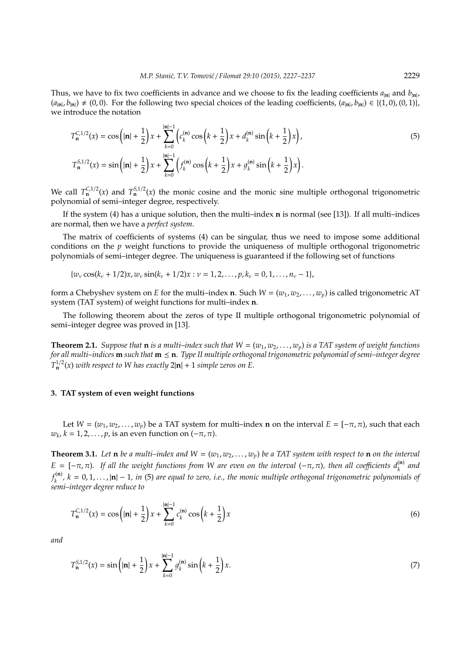Thus, we have to fix two coefficients in advance and we choose to fix the leading coefficients *a*|**n**<sup>|</sup> and *b*|**n**<sup>|</sup> ,  $(a_{\text{in}}, b_{\text{in}}) \neq (0, 0)$ . For the following two special choices of the leading coefficients,  $(a_{\text{in}}, b_{\text{in}}) \in \{(1, 0), (0, 1)\},$ we introduce the notation

$$
T_{\mathbf{n}}^{C,1/2}(x) = \cos\left(|\mathbf{n}| + \frac{1}{2}\right)x + \sum_{k=0}^{|\mathbf{n}|-1} \left(c_k^{(\mathbf{n})}\cos\left(k + \frac{1}{2}\right)x + d_k^{(\mathbf{n})}\sin\left(k + \frac{1}{2}\right)x\right),
$$
  
\n
$$
T_{\mathbf{n}}^{S,1/2}(x) = \sin\left(|\mathbf{n}| + \frac{1}{2}\right)x + \sum_{k=0}^{|\mathbf{n}|-1} \left(f_k^{(\mathbf{n})}\cos\left(k + \frac{1}{2}\right)x + g_k^{(\mathbf{n})}\sin\left(k + \frac{1}{2}\right)x\right).
$$
\n(5)

We call  $T_n^{C,1/2}(x)$  and  $T_n^{S,1/2}(x)$  the monic cosine and the monic sine multiple orthogonal trigonometric polynomial of semi–integer degree, respectively.

If the system (4) has a unique solution, then the multi–index **n** is normal (see [13]). If all multi–indices are normal, then we have a *perfect system*.

The matrix of coefficients of systems (4) can be singular, thus we need to impose some additional conditions on the *p* weight functions to provide the uniqueness of multiple orthogonal trigonometric polynomials of semi–integer degree. The uniqueness is guaranteed if the following set of functions

 $\{w_v \cos(k_v + 1/2)x, w_v \sin(k_v + 1/2)x : v = 1, 2, \ldots, p, k_v = 0, 1, \ldots, n_v - 1\},\}$ 

form a Chebyshev system on *E* for the multi–index **n**. Such  $W = (w_1, w_2, \ldots, w_p)$  is called trigonometric AT system (TAT system) of weight functions for multi–index **n**.

The following theorem about the zeros of type II multiple orthogonal trigonometric polynomial of semi–integer degree was proved in [13].

**Theorem 2.1.** *Suppose that* **n** *is a multi-index such that*  $W = (w_1, w_2, \ldots, w_p)$  *is a TAT system of weight functions for all multi–indices* **m** *such that* **m n***. Type II multiple orthogonal trigonometric polynomial of semi–integer degree*  $T^{1/2}_n(x)$  *with respect to W has exactly*  $2|n| + 1$  *simple zeros on E.* 

## **3. TAT system of even weight functions**

Let  $W = (w_1, w_2, \dots, w_p)$  be a TAT system for multi–index **n** on the interval  $E = [-\pi, \pi)$ , such that each  $w_k$ ,  $k = 1, 2, \ldots, p$ , is an even function on  $(-\pi, \pi)$ .

**Theorem 3.1.** Let **n** be a multi-index and  $W = (w_1, w_2, \ldots, w_p)$  be a TAT system with respect to **n** on the interval  $E = [-\pi, \pi)$ . If all the weight functions from W are even on the interval  $(-\pi, \pi)$ , then all coefficients  $d_k^{(n)}$  and  $f_k^{(n)}$ *k*<sup>(**n**</sup>), *k* = 0, 1,..., |**n**| − 1, *in* (5) *are equal to zero, i.e., the monic multiple orthogonal trigonometric polynomials of semi–integer degree reduce to*

$$
T_{n}^{C,1/2}(x) = \cos\left(|n| + \frac{1}{2}\right)x + \sum_{k=0}^{|n|-1} c_k^{(n)} \cos\left(k + \frac{1}{2}\right)x\tag{6}
$$

*and*

$$
T_{n}^{S,1/2}(x) = \sin\left(|n| + \frac{1}{2}\right)x + \sum_{k=0}^{|n|-1} g_k^{(n)} \sin\left(k + \frac{1}{2}\right)x.
$$
 (7)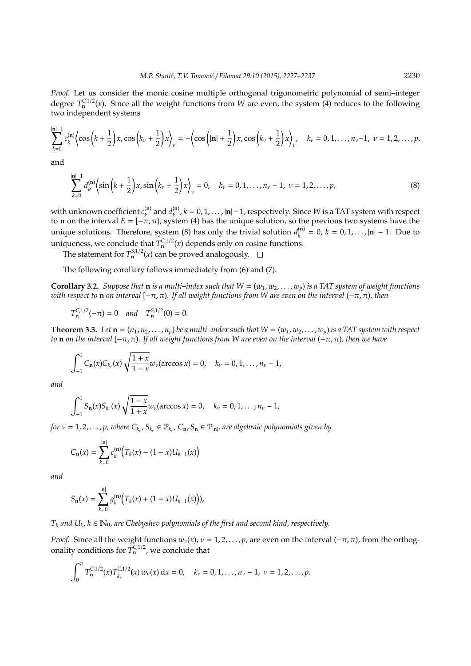*Proof.* Let us consider the monic cosine multiple orthogonal trigonometric polynomial of semi–integer degree  $T_n^{C,1/2}(x)$ . Since all the weight functions from *W* are even, the system (4) reduces to the following two independent systems

$$
\sum_{k=0}^{|\mathbf{n}|-1} c_k^{(\mathbf{n})} \Biggl\langle \cos\left(k+\frac{1}{2}\right)x, \cos\left(k_v+\frac{1}{2}\right)x \Biggr\rangle_{\nu} = -\Biggl\langle \cos\left(|\mathbf{n}|+\frac{1}{2}\right)x, \cos\left(k_v+\frac{1}{2}\right)x \Biggr\rangle_{\nu}, \quad k_v = 0, 1, \ldots, n_v-1, \ \nu = 1, 2, \ldots, p,
$$

and

$$
\sum_{k=0}^{|\mathbf{n}|-1} d_k^{(\mathbf{n})} \Bigl\langle \sin\left(k + \frac{1}{2}\right)x, \sin\left(k_v + \frac{1}{2}\right)x \Bigr\rangle_v = 0, \quad k_v = 0, 1, ..., n_v - 1, \ v = 1, 2, ..., p,
$$
\n(8)

with unknown coefficient  $c_{\iota}^{(\mathbf{n})}$  $a_k^{(n)}$  and  $d_k^{(n)}$ *k* , *k* = 0, 1, . . . , |**n**|−1, respectively. Since *W* is a TAT system with respect to **n** on the interval  $E = [-\pi, \pi)$ , system (4) has the unique solution, so the previous two systems have the unique solutions. Therefore, system (8) has only the trivial solution  $d_{\iota}^{(n)}$  $h_k^{(n)} = 0, k = 0, 1, \ldots, |n| - 1$ . Due to uniqueness, we conclude that  $T_n^{C,1/2}(x)$  depends only on cosine functions.

The statement for  $T_{\bf n}^{S,1/2}(x)$  can be proved analogously.

The following corollary follows immediately from (6) and (7).

**Corollary 3.2.** *Suppose that* **n** *is a multi–index such that*  $W = (w_1, w_2, \ldots, w_p)$  *is a TAT system of weight functions with respect to* **n** *on interval* [−π, π)*. If all weight functions from W are even on the interval* (−π, π)*, then*

 $T_{\mathbf{n}}^{C,1/2}(-\pi) = 0$  *and*  $T_{\mathbf{n}}^{S,1/2}(0) = 0.$ 

**Theorem 3.3.** Let  $\mathbf{n} = (n_1, n_2, \dots, n_p)$  be a multi–index such that  $W = (w_1, w_2, \dots, w_p)$  is a TAT system with respect *to* **n** *on the interval* [−π, π)*. If all weight functions from W are even on the interval* (−π, π)*, then we have*

$$
\int_{-1}^{1} C_{n}(x) C_{k_{\nu}}(x) \sqrt{\frac{1+x}{1-x}} w_{\nu}(\arccos x) = 0, \quad k_{\nu} = 0, 1, ..., n_{\nu} - 1,
$$

*and*

$$
\int_{-1}^{1} S_{n}(x) S_{k_{\nu}}(x) \sqrt{\frac{1-x}{1+x}} w_{\nu}(\arccos x) = 0, \quad k_{\nu} = 0, 1, ..., n_{\nu} - 1,
$$

*for*  $v = 1, 2, \ldots, p$ , where  $C_{k_v}$ ,  $S_{k_v} \in \mathcal{P}_{k_v}$ ,  $C_{n}$ ,  $S_n \in \mathcal{P}_{|n|}$ , are algebraic polynomials given by

$$
C_{\mathbf{n}}(x) = \sum_{k=0}^{|\mathbf{n}|} c_k^{(\mathbf{n})} \big( T_k(x) - (1-x)U_{k-1}(x) \big)
$$

*and*

$$
S_{\mathbf{n}}(x) = \sum_{k=0}^{|\mathbf{n}|} g_k^{(\mathbf{n})} (T_k(x) + (1+x)U_{k-1}(x))),
$$

 $T_k$  *and*  $U_k$ ,  $k \in \mathbb{N}_0$ , are Chebyshev polynomials of the first and second kind, respectively.

*Proof.* Since all the weight functions  $w_v(x)$ ,  $v = 1, 2, ..., p$ , are even on the interval ( $-\pi$ ,  $\pi$ ), from the orthogonality conditions for  $T_n^{C,1/2}$ , we conclude that

$$
\int_0^{\pi} T_{\mathbf{n}}^{C,1/2}(x) T_{k_{\nu}}^{C,1/2}(x) w_{\nu}(x) dx = 0, \quad k_{\nu} = 0, 1, ..., n_{\nu} - 1, \ \nu = 1, 2, ..., p.
$$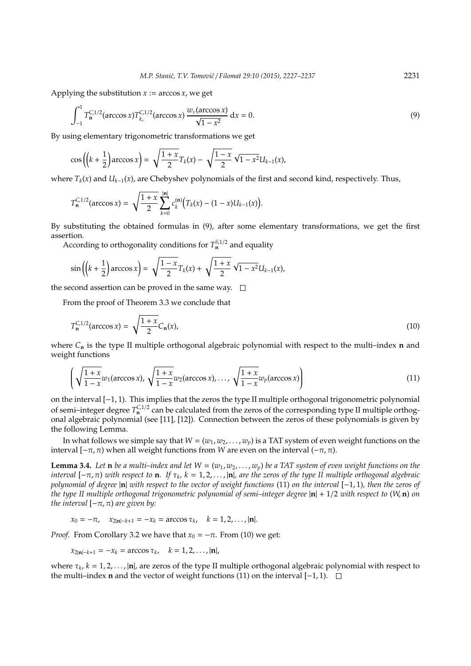Applying the substitution  $x := \arccos x$ , we get

$$
\int_{-1}^{1} T_{n}^{C,1/2}(\arccos x) T_{k_v}^{C,1/2}(\arccos x) \frac{w_v(\arccos x)}{\sqrt{1-x^2}} dx = 0.
$$
 (9)

By using elementary trigonometric transformations we get

$$
\cos\left(\left(k+\frac{1}{2}\right)\arccos x\right) = \sqrt{\frac{1+x}{2}}T_k(x) - \sqrt{\frac{1-x}{2}}\sqrt{1-x^2}U_{k-1}(x),
$$

where  $T_k(x)$  and  $U_{k-1}(x)$ , are Chebyshev polynomials of the first and second kind, respectively. Thus,

$$
T_{\mathbf{n}}^{C,1/2}(\arccos x) = \sqrt{\frac{1+x}{2}} \sum_{k=0}^{|\mathbf{n}|} c_k^{(\mathbf{n})} (T_k(x) - (1-x)U_{k-1}(x)).
$$

By substituting the obtained formulas in (9), after some elementary transformations, we get the first assertion.

According to orthogonality conditions for  $T_n^{S,1/2}$  and equality

$$
\sin\left(\left(k+\frac{1}{2}\right)\arccos x\right) = \sqrt{\frac{1-x}{2}}T_k(x) + \sqrt{\frac{1+x}{2}}\sqrt{1-x^2}U_{k-1}(x),
$$

the second assertion can be proved in the same way.  $\square$ 

From the proof of Theorem 3.3 we conclude that

$$
T_{n}^{C,1/2}(\arccos x) = \sqrt{\frac{1+x}{2}} C_{n}(x),
$$
\n(10)

where *C***<sup>n</sup>** is the type II multiple orthogonal algebraic polynomial with respect to the multi–index **n** and weight functions

$$
\left(\sqrt{\frac{1+x}{1-x}}w_1(\arccos x), \sqrt{\frac{1+x}{1-x}}w_2(\arccos x), \dots, \sqrt{\frac{1+x}{1-x}}w_p(\arccos x)\right) \tag{11}
$$

on the interval [−1, 1). This implies that the zeros the type II multiple orthogonal trigonometric polynomial of semi–integer degree  $T_n^{C,1/2}$  can be calculated from the zeros of the corresponding type II multiple orthogonal algebraic polynomial (see [11], [12]). Connection between the zeros of these polynomials is given by the following Lemma.

In what follows we simple say that  $W = (w_1, w_2, \dots, w_p)$  is a TAT system of even weight functions on the interval  $[−π, π)$  when all weight functions from *W* are even on the interval  $(−π, π)$ .

**Lemma 3.4.** Let **n** be a multi-index and let  $W = (w_1, w_2, \ldots, w_p)$  be a TAT system of even weight functions on the *interval* [−π, π) *with respect to* **n***. If* τ*<sup>k</sup> , k* = 1, 2, . . . , |**n**|*, are the zeros of the type II multiple orthogonal algebraic polynomial of degree* |**n**| *with respect to the vector of weight functions* (11) *on the interval* [−1, 1)*, then the zeros of the type II multiple orthogonal trigonometric polynomial of semi–integer degree* |**n**| + 1/2 *with respect to* (*W*, **n**) *on the interval*  $[-\pi, \pi)$  *are given by:* 

 $x_0 = -\pi$ ,  $x_{2|\mathbf{n}| - k + 1} = -x_k = \arccos \tau_k$ ,  $k = 1, 2, ..., |\mathbf{n}|$ .

*Proof.* From Corollary 3.2 we have that  $x_0 = -\pi$ . From (10) we get:

$$
x_{2|n|-k+1} = -x_k = \arccos \tau_k, \quad k = 1, 2, ..., |\mathbf{n}|,
$$

where  $\tau_k$ ,  $k = 1, 2, ..., |\mathbf{n}|$ , are zeros of the type II multiple orthogonal algebraic polynomial with respect to the multi–index **n** and the vector of weight functions (11) on the interval [−1, 1).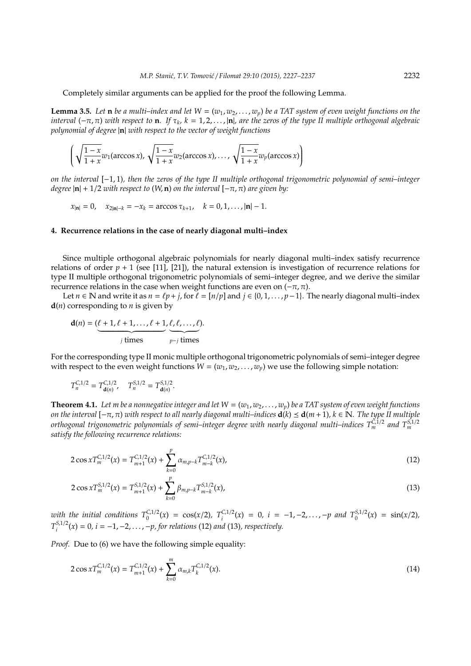Completely similar arguments can be applied for the proof the following Lemma.

**Lemma 3.5.** Let **n** *be a multi–index and let*  $W = (w_1, w_2, \ldots, w_p)$  *be a TAT system of even weight functions on the interval* (−π, π) *with respect to* **n***. If* τ*<sup>k</sup> , k* = 1, 2, . . . , |**n**|*, are the zeros of the type II multiple orthogonal algebraic polynomial of degree* |**n**| *with respect to the vector of weight functions*

$$
\left(\sqrt{\frac{1-x}{1+x}}w_1(\arccos x), \sqrt{\frac{1-x}{1+x}}w_2(\arccos x), \ldots, \sqrt{\frac{1-x}{1+x}}w_p(\arccos x)\right)
$$

*on the interval* [−1, 1)*, then the zeros of the type II multiple orthogonal trigonometric polynomial of semi–integer degree*  $|\mathbf{n}| + 1/2$  *with respect to* (*W*, **n**) *on the interval*  $[-\pi, \pi)$  *are given by:* 

 $x_{\text{in}} = 0$ ,  $x_{2\text{in}} - k = -x_k = \arccos \tau_{k+1}$ ,  $k = 0, 1, ..., |\mathbf{n}| - 1$ .

## **4. Recurrence relations in the case of nearly diagonal multi–index**

Since multiple orthogonal algebraic polynomials for nearly diagonal multi–index satisfy recurrence relations of order  $p + 1$  (see [11], [21]), the natural extension is investigation of recurrence relations for type II multiple orthogonal trigonometric polynomials of semi–integer degree, and we derive the similar recurrence relations in the case when weight functions are even on  $(-\pi, \pi)$ .

Let *n* ∈ N and write it as *n* =  $\ell p$  + *j*, for  $\ell$  = [*n*/*p*] and  $j$  ∈ {0, 1, . . . , *p*−1}. The nearly diagonal multi–index **d**(*n*) corresponding to *n* is given by

$$
\mathbf{d}(n) = (\underbrace{\ell+1,\ell+1,\ldots,\ell+1}_{j \text{ times}},\underbrace{\ell,\ell,\ldots,\ell}_{p-j \text{ times}}).
$$

For the corresponding type II monic multiple orthogonal trigonometric polynomials of semi–integer degree with respect to the even weight functions  $W = (w_1, w_2, \dots, w_p)$  we use the following simple notation:

$$
T_n^{C,1/2} = T_{\mathbf{d}(n)}^{C,1/2}, \quad T_n^{S,1/2} = T_{\mathbf{d}(n)}^{S,1/2}.
$$

**Theorem 4.1.** Let m be a nonnegative integer and let  $W = (w_1, w_2, \ldots, w_n)$  be a TAT system of even weight functions *on the interval*  $[-\pi, \pi)$  *with respect to all nearly diagonal multi–indices*  $\mathbf{d}(k) \leq \mathbf{d}(m+1)$ *, k* ∈ N. The type II multiple *orthogonal trigonometric polynomials of semi–integer degree with nearly diagonal multi–indices TC*,1/<sup>2</sup> *<sup>m</sup> and TS*,1/<sup>2</sup> *m satisfy the following recurrence relations:*

$$
2\cos x T_m^{C,1/2}(x) = T_{m+1}^{C,1/2}(x) + \sum_{k=0}^p \alpha_{m,p-k} T_{m-k}^{C,1/2}(x),
$$
\n(12)

$$
2\cos x T_m^{S,1/2}(x) = T_{m+1}^{S,1/2}(x) + \sum_{k=0}^p \beta_{m,p-k} T_{m-k}^{S,1/2}(x),
$$
\n(13)

*with the initial conditions*  $T_0^{C,1/2}(x) = \cos(x/2)$ ,  $T_i^{C,1/2}(x) = 0$ ,  $i = -1, -2, \ldots, -p$  and  $T_0^{S,1/2}(x) = \sin(x/2)$ ,  $T^{S,1/2}_i$  $i^{S,1/2}(x) = 0$ ,  $i = −1, −2, …, −p$ , for relations (12) and (13), respectively.

*Proof.* Due to (6) we have the following simple equality:

$$
2\cos x T_m^{C,1/2}(x) = T_{m+1}^{C,1/2}(x) + \sum_{k=0}^{m} \alpha_{m,k} T_k^{C,1/2}(x).
$$
\n(14)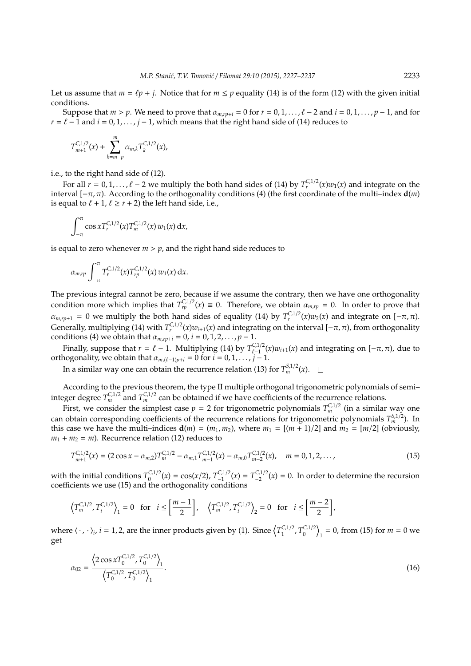Let us assume that  $m = \ell p + j$ . Notice that for  $m \leq p$  equality (14) is of the form (12) with the given initial conditions.

Suppose that  $m > p$ . We need to prove that  $\alpha_{m,rp+i} = 0$  for  $r = 0, 1, \ldots, \ell - 2$  and  $i = 0, 1, \ldots, p - 1$ , and for *r* =  $\ell$  − 1 and *i* = 0, 1, . . . , *j* − 1, which means that the right hand side of (14) reduces to

$$
T_{m+1}^{C,1/2}(x) + \sum_{k=m-p}^{m} \alpha_{m,k} T_k^{C,1/2}(x),
$$

i.e., to the right hand side of (12).

For all  $r = 0, 1, ..., \ell - 2$  we multiply the both hand sides of (14) by  $T_r^{C,1/2}(x)w_1(x)$  and integrate on the interval [−π, π). According to the orthogonality conditions (4) (the first coordinate of the multi–index **d**(*m*) is equal to  $\ell + 1$ ,  $\ell \ge r + 2$ ) the left hand side, i.e.,

$$
\int_{-\pi}^{\pi} \cos x T_r^{C,1/2}(x) T_m^{C,1/2}(x) w_1(x) \, \mathrm{d}x,
$$

is equal to zero whenever  $m > p$ , and the right hand side reduces to

$$
\alpha_{m,rp} \int_{-\pi}^{\pi} T_r^{C,1/2}(x) T_{rp}^{C,1/2}(x) w_1(x) dx.
$$

The previous integral cannot be zero, because if we assume the contrary, then we have one orthogonality condition more which implies that  $T_{rp}^{C,1/2}(x) \equiv 0$ . Therefore, we obtain  $\alpha_{m,rp} = 0$ . In order to prove that  $\alpha_{m,rp+1} = 0$  we multiply the both hand sides of equality (14) by  $T_r^{C,1/2}(x)w_2(x)$  and integrate on  $[-\pi,\pi)$ . Generally, multiplying (14) with  $T_r^{C,1/2}(x)w_{i+1}(x)$  and integrating on the interval  $[-\pi,\pi)$ , from orthogonality conditions (4) we obtain that  $a_{m,rp+i} = 0$ ,  $i = 0, 1, 2, ..., p - 1$ .

Finally, suppose that  $r = \ell - 1$ . Multiplying (14) by  $T_{\ell-1}^{C,1/2}(x)w_{i+1}(x)$  and integrating on  $[-\pi,\pi)$ , due to orthogonality, we obtain that  $\alpha_{m,(\ell-1)p+i} = 0$  for  $i = 0, 1, \ldots, j-1$ .

In a similar way one can obtain the recurrence relation (13) for  $T_m^{S,1/2}(x)$ .

According to the previous theorem, the type II multiple orthogonal trigonometric polynomials of semi– integer degree  $T_m^{C,1/2}$  and  $T_m^{C,1/2}$  can be obtained if we have coefficients of the recurrence relations.

First, we consider the simplest case  $p = 2$  for trigonometric polynomials  $T_m^{C,1/2}$  (in a similar way one can obtain corresponding coefficients of the recurrence relations for trigonometric polynomials  $T_m^{S,1/2}$ ). In this case we have the multi-indices  $\mathbf{d}(m) = (m_1, m_2)$ , where  $m_1 = [(m + 1)/2]$  and  $m_2 = [m/2]$  (obviously,  $m_1 + m_2 = m$ ). Recurrence relation (12) reduces to

$$
T_{m+1}^{C,1/2}(x) = (2\cos x - \alpha_{m,2})T_m^{C,1/2} - \alpha_{m,1}T_{m-1}^{C,1/2}(x) - \alpha_{m,0}T_{m-2}^{C,1/2}(x), \quad m = 0, 1, 2, ..., \tag{15}
$$

with the initial conditions  $T_0^{C,1/2}$  $C_0^{1/2}(x) = \cos(x/2), T_{-1}^{C,1/2}(x) = T_{-2}^{C,1/2}(x) = 0.$  In order to determine the recursion coefficients we use (15) and the orthogonality conditions

$$
\left\langle T_{m}^{C,1/2},T_{i}^{C,1/2}\right\rangle _{1}=0\text{ for }i\leq\left[\frac{m-1}{2}\right],\quad \left\langle T_{m}^{C,1/2},T_{i}^{C,1/2}\right\rangle _{2}=0\text{ for }i\leq\left[\frac{m-2}{2}\right],
$$

where  $\langle \cdot, \cdot \rangle_i$ ,  $i = 1, 2$ , are the inner products given by (1). Since  $\left\langle T_1^{C,1/2} \right\rangle$ <sup>C,1/2</sup>,  $T_0^{C,1/2}$  $\binom{C,1/2}{0}$  $n_1 = 0$ , from (15) for  $m = 0$  we get

$$
\alpha_{02} = \frac{\left\langle 2\cos x T_0^{C,1/2}, T_0^{C,1/2} \right\rangle_1}{\left\langle T_0^{C,1/2}, T_0^{C,1/2} \right\rangle_1}.
$$
\n(16)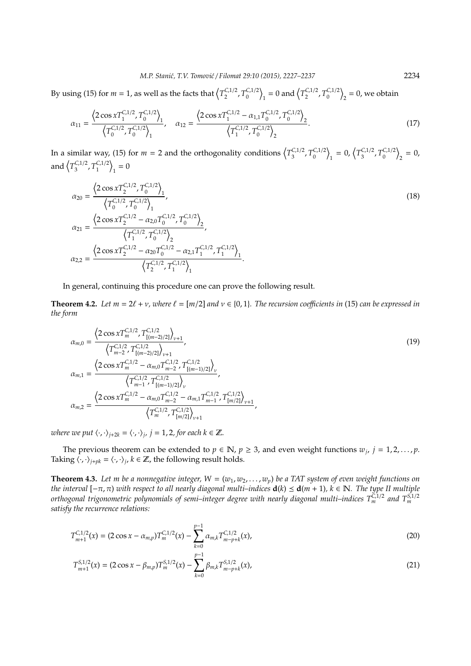By using (15) for  $m = 1$ , as well as the facts that  $\left(\frac{T_c^{C}}{2}\right)$ <sup>C,1/2</sup>,  $T_0^{C,1/2}$  $\binom{C,1/2}{0}$  $_1 = 0$  and  $\left(\frac{T_{2}^{C,1/2}}{2}\right)$ <sup>C,1/2</sup>,  $T_0^{C,1/2}$  $\binom{C,1/2}{0}$  $_2$  = 0, we obtain

$$
\alpha_{11} = \frac{\left\langle 2\cos x T_1^{C,1/2}, T_0^{C,1/2} \right\rangle_1}{\left\langle T_0^{C,1/2}, T_0^{C,1/2} \right\rangle_1}, \quad \alpha_{12} = \frac{\left\langle 2\cos x T_1^{C,1/2} - \alpha_{1,1} T_0^{C,1/2}, T_0^{C,1/2} \right\rangle_2}{\left\langle T_1^{C,1/2}, T_0^{C,1/2} \right\rangle_2}.
$$
\n(17)

In a similar way, (15) for  $m = 2$  and the orthogonality conditions  $\left\langle T_{3}^{C,1/2}\right\rangle$  $T_3^{C,1/2}$ ,  $T_0^{C,1/2}$  $\binom{C,1/2}{0}$  $T_1 = 0, \left(T_3^{C,1/2}\right)$ <sup>*c*</sup>,1/2</sup>,  $T_0^{C,1/2}$  $\binom{C,1/2}{0}$  $n_2 = 0$ , and  $\left(T_3^{C,1/2}\right)$ <sup>C,1/2</sup>,  $T_1^{C,1/2}$  $\binom{C,1/2}{1}$  $_1 = 0$ 

$$
\alpha_{20} = \frac{\left\langle 2\cos x T_2^{C,1/2}, T_0^{C,1/2} \right\rangle_1}{\left\langle T_0^{C,1/2}, T_0^{C,1/2} \right\rangle_1},
$$
\n
$$
\alpha_{21} = \frac{\left\langle 2\cos x T_2^{C,1/2} - \alpha_{2,0} T_0^{C,1/2}, T_0^{C,1/2} \right\rangle_2}{\left\langle T_1^{C,1/2}, T_0^{C,1/2} \right\rangle_2},
$$
\n
$$
\alpha_{22} = \frac{\left\langle 2\cos x T_2^{C,1/2} - \alpha_{20} T_0^{C,1/2} - \alpha_{2,1} T_1^{C,1/2}, T_1^{C,1/2} \right\rangle_1}{\left\langle T_2^{C,1/2}, T_1^{C,1/2} \right\rangle_1}.
$$
\n(18)

### In general, continuing this procedure one can prove the following result.

**Theorem 4.2.** Let  $m = 2\ell + \nu$ , where  $\ell = [m/2]$  and  $\nu \in \{0, 1\}$ . The recursion coefficients in (15) can be expressed in *the form*

$$
\alpha_{m,0} = \frac{\left\langle 2\cos x T_m^{C,1/2}, T_{[(m-2)/2]}^{C,1/2} \right\rangle_{\nu+1}}{\left\langle T_{m-2}^{C,1/2}, T_{[(m-2)/2]}^{C,1/2} \right\rangle_{\nu+1}},
$$
\n
$$
\alpha_{m,1} = \frac{\left\langle 2\cos x T_m^{C,1/2} - \alpha_{m,0} T_{m-2}^{C,1/2}, T_{[(m-1)/2]}^{C,1/2} \right\rangle_{\nu}}{\left\langle T_{m-1}^{C,1/2}, T_{[(m-1)/2]}^{C,1/2} \right\rangle_{\nu}},
$$
\n
$$
\alpha_{m,2} = \frac{\left\langle 2\cos x T_m^{C,1/2} - \alpha_{m,0} T_{m-2}^{C,1/2} - \alpha_{m,1} T_{m-1}^{C,1/2}, T_{[m/2]}^{C,1/2} \right\rangle_{\nu+1}}{\left\langle T_{m}^{C,1/2}, T_{[m/2]}^{C,1/2} \right\rangle_{\nu+1}},
$$
\n(19)

*where we put*  $\langle \cdot, \cdot \rangle_{j+2k} = \langle \cdot, \cdot \rangle_j$ ,  $j = 1, 2$ , for each  $k \in \mathbb{Z}$ .

The previous theorem can be extended to  $p \in \mathbb{N}$ ,  $p \geq 3$ , and even weight functions  $w_j$ ,  $j = 1, 2, ..., p$ . Taking  $\langle \cdot, \cdot \rangle_{j+pk} = \langle \cdot, \cdot \rangle_j$ ,  $k \in \mathbb{Z}$ , the following result holds.

**Theorem 4.3.** Let m be a nonnegative integer,  $W = (w_1, w_2, \ldots, w_p)$  be a TAT system of even weight functions on *the interval*  $[-\pi, \pi)$  *with respect to all nearly diagonal multi–indices*  $d(k) \leq d(m + 1)$ *, k*  $\in \mathbb{N}$ *. The type II multiple orthogonal trigonometric polynomials of semi–integer degree with nearly diagonal multi–indices T<sup>C</sup>*,1/<sup>2</sup> *<sup>m</sup> and T<sup>S</sup>*,1/<sup>2</sup> *m satisfy the recurrence relations:*

$$
T_{m+1}^{C,1/2}(x) = (2\cos x - \alpha_{m,p})T_m^{C,1/2}(x) - \sum_{k=0}^{p-1} \alpha_{m,k} T_{m-p+k}^{C,1/2}(x),
$$
\n(20)

$$
T_{m+1}^{S,1/2}(x) = (2\cos x - \beta_{m,p})T_m^{S,1/2}(x) - \sum_{k=0}^{p-1} \beta_{m,k} T_{m-p+k}^{S,1/2}(x), \qquad (21)
$$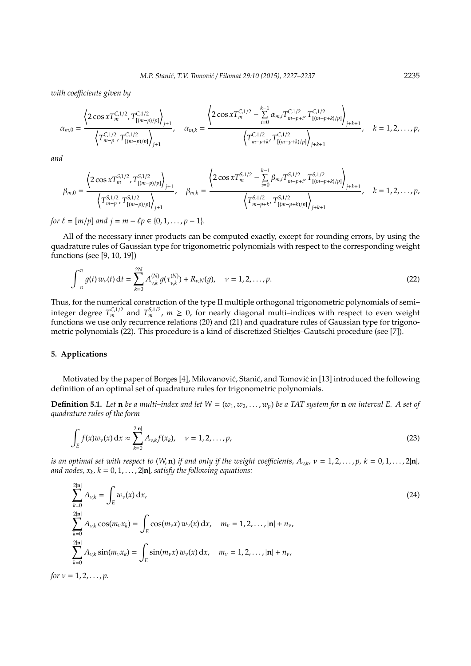*with coe*ffi*cients given by*

$$
\alpha_{m,0} = \frac{\left\langle 2\cos x T_m^{C,1/2}, T_{[(m-p)/p]}^{C,1/2} \right\rangle_{j+1}}{\left\langle T_{m-p}^{C,1/2}, T_{[(m-p)/p]}^{C,1/2} \right\rangle_{j+1}}, \quad \alpha_{m,k} = \frac{\left\langle 2\cos x T_m^{C,1/2} - \sum_{i=0}^{k-1} \alpha_{m,i} T_{m-p+i}^{C,1/2}, T_{[(m-p+k)/p]}^{C,1/2} \right\rangle_{j+k+1}}, \quad k = 1, 2, \ldots, p,
$$

*and*

$$
\beta_{m,0} = \frac{\left\langle 2\cos x T_m^{S,1/2}, T_{[(m-p)/p]}^{S,1/2} \right\rangle_{j+1}}{\left\langle T_{m-p}^{S,1/2}, T_{[(m-p)/p]}^{S,1/2} \right\rangle_{j+1}}, \quad \beta_{m,k} = \frac{\left\langle 2\cos x T_m^{S,1/2} - \sum_{i=0}^{k-1} \beta_{m,i} T_{m-p+i}^{S,1/2}, T_{[(m-p+k)/p]}^{S,1/2} \right\rangle_{j+k+1}}, \quad k = 1, 2, \ldots, p,
$$

*for*  $\ell = [m/p]$  *and*  $j = m - \ell p \in \{0, 1, \ldots, p - 1\}.$ 

All of the necessary inner products can be computed exactly, except for rounding errors, by using the quadrature rules of Gaussian type for trigonometric polynomials with respect to the corresponding weight functions (see [9, 10, 19])

$$
\int_{-\pi}^{\pi} g(t) w_{\nu}(t) dt = \sum_{k=0}^{2N} A_{\nu,k}^{(N)} g(\tau_{\nu,k}^{(N)}) + R_{\nu,N}(g), \quad \nu = 1, 2, ..., p.
$$
 (22)

Thus, for the numerical construction of the type II multiple orthogonal trigonometric polynomials of semi– integer degree  $T_m^{C,1/2}$  and  $T_m^{S,1/2}$ ,  $m \geq 0$ , for nearly diagonal multi–indices with respect to even weight functions we use only recurrence relations (20) and (21) and quadrature rules of Gaussian type for trigonometric polynomials (22). This procedure is a kind of discretized Stieltjes–Gautschi procedure (see [7]).

#### **5. Applications**

Motivated by the paper of Borges [4], Milovanović, Stanić, and Tomović in [13] introduced the following definition of an optimal set of quadrature rules for trigonometric polynomials.

**Definition 5.1.** Let **n** *be a multi–index and let*  $W = (w_1, w_2, \ldots, w_p)$  *be a TAT system for* **n** *on interval E. A set of quadrature rules of the form*

$$
\int_{E} f(x) w_{\nu}(x) dx \approx \sum_{k=0}^{2|\mathbf{n}|} A_{\nu,k} f(x_k), \quad \nu = 1, 2, ..., p,
$$
\n(23)

*is an optimal set with respect to*  $(W, n)$  *if and only if the weight coefficients,*  $A_{v,k}$ ,  $v = 1, 2, ..., p$ ,  $k = 0, 1, ..., 2|n|$ , and nodes,  $x_k$ ,  $k = 0, 1, \ldots, 2|\mathbf{n}|$ , satisfy the following equations:

$$
\sum_{k=0}^{2|\mathbf{n}|} A_{\nu,k} = \int_{E} w_{\nu}(x) dx,
$$
\n
$$
\sum_{k=0}^{2|\mathbf{n}|} A_{\nu,k} \cos(m_{\nu}x_{k}) = \int_{E} \cos(m_{\nu}x) w_{\nu}(x) dx, \quad m_{\nu} = 1, 2, ..., |\mathbf{n}| + n_{\nu},
$$
\n
$$
\sum_{k=0}^{2|\mathbf{n}|} A_{\nu,k} \sin(m_{\nu}x_{k}) = \int_{E} \sin(m_{\nu}x) w_{\nu}(x) dx, \quad m_{\nu} = 1, 2, ..., |\mathbf{n}| + n_{\nu},
$$
\n
$$
\text{for } \nu = 1, 2, ..., p.
$$
\n(24)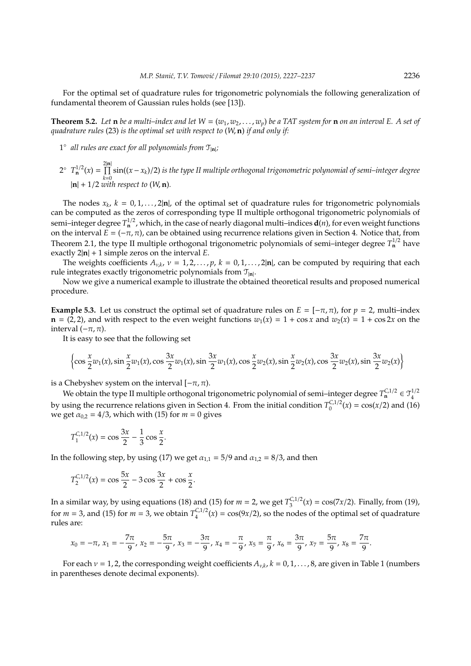For the optimal set of quadrature rules for trigonometric polynomials the following generalization of fundamental theorem of Gaussian rules holds (see [13]).

**Theorem 5.2.** Let **n** *be a multi–index and let*  $W = (w_1, w_2, \ldots, w_p)$  *be a TAT system for* **n** *on an interval E. A set of quadrature rules* (23) *is the optimal set with respect to* (*W*, **n**) *if and only if:*

- 1° all rules are exact for all polynomials from  $\mathcal{T}_{|\mathbf{n}|}$ ;
- $2^{\circ}$   $T_{\mathbf{n}}^{1/2}(x) = \prod_{n=1}^{2|\mathbf{n}|}$ |**n**| *k*=0 sin((*x* − *xk*)/2) *is the type II multiple orthogonal trigonometric polynomial of semi–integer degree* |**n**| + 1/2 *with respect to* (*W*, **n**)*.*

The nodes  $x_k$ ,  $k = 0, 1, ..., 2|n|$ , of the optimal set of quadrature rules for trigonometric polynomials can be computed as the zeros of corresponding type II multiple orthogonal trigonometric polynomials of semi–integer degree  $T^{1/2}$ , which, in the case of nearly diagonal multi–indices  $\mathbf{d}(n)$ , for even weight functions on the interval  $\vec{E} = (-\pi, \pi)$ , can be obtained using recurrence relations given in Section 4. Notice that, from Theorem 2.1, the type II multiple orthogonal trigonometric polynomials of semi–integer degree  $T<sub>n</sub><sup>1/2</sup>$  have exactly 2|**n**| + 1 simple zeros on the interval *E*.

The weights coefficients  $A_{\nu,k}$ ,  $\nu = 1, 2, ..., p$ ,  $k = 0, 1, ..., 2|\mathbf{n}|$ , can be computed by requiring that each rule integrates exactly trigonometric polynomials from T<sup>|</sup>**n**<sup>|</sup> .

Now we give a numerical example to illustrate the obtained theoretical results and proposed numerical procedure.

**Example 5.3.** Let us construct the optimal set of quadrature rules on  $E = [-\pi, \pi)$ , for  $p = 2$ , multi–index **, and with respect to the even weight functions**  $w_1(x) = 1 + \cos x$  **and**  $w_2(x) = 1 + \cos 2x$  **on the** interval (−π, π).

It is easy to see that the following set

$$
\left\{\cos\frac{x}{2}w_1(x),\sin\frac{x}{2}w_1(x),\cos\frac{3x}{2}w_1(x),\sin\frac{3x}{2}w_1(x),\cos\frac{x}{2}w_2(x),\sin\frac{x}{2}w_2(x),\cos\frac{3x}{2}w_2(x),\sin\frac{3x}{2}w_2(x)\right\}
$$

is a Chebyshev system on the interval  $[-\pi, \pi)$ .

We obtain the type II multiple orthogonal trigonometric polynomial of semi–integer degree  $T^{C,1/2}_n \in \mathfrak{T}^{1/2}_4$ 4 by using the recurrence relations given in Section 4. From the initial condition  $T_0^{C,1/2}$  $\int_0^{\infty} f(x) dx = \cos(x/2)$  and (16) we get  $\alpha_{0,2} = 4/3$ , which with (15) for  $m = 0$  gives

$$
T_1^{C,1/2}(x) = \cos\frac{3x}{2} - \frac{1}{3}\cos\frac{x}{2}.
$$

In the following step, by using (17) we get  $\alpha_{1,1} = 5/9$  and  $\alpha_{1,2} = 8/3$ , and then

$$
T_2^{C,1/2}(x) = \cos\frac{5x}{2} - 3\cos\frac{3x}{2} + \cos\frac{x}{2}.
$$

In a similar way, by using equations (18) and (15) for  $m = 2$ , we get  $T_3^{C,1/2}$  $S_3^{(C,1/2)}(x) = \cos(7x/2)$ . Finally, from (19), for *m* = 3, and (15) for *m* = 3, we obtain  $T_4^{C,1/2}$  $\frac{d^{(1)}(x)}{4}(x) = \cos(9x/2)$ , so the nodes of the optimal set of quadrature rules are:

$$
x_0=-\pi, x_1=-\frac{7\pi}{9}, x_2=-\frac{5\pi}{9}, x_3=-\frac{3\pi}{9}, x_4=-\frac{\pi}{9}, x_5=\frac{\pi}{9}, x_6=\frac{3\pi}{9}, x_7=\frac{5\pi}{9}, x_8=\frac{7\pi}{9}.
$$

For each  $\nu$  = 1, 2, the corresponding weight coefficients  $A_{\nu,k}$ ,  $k$  = 0, 1, . . . , 8, are given in Table 1 (numbers in parentheses denote decimal exponents).